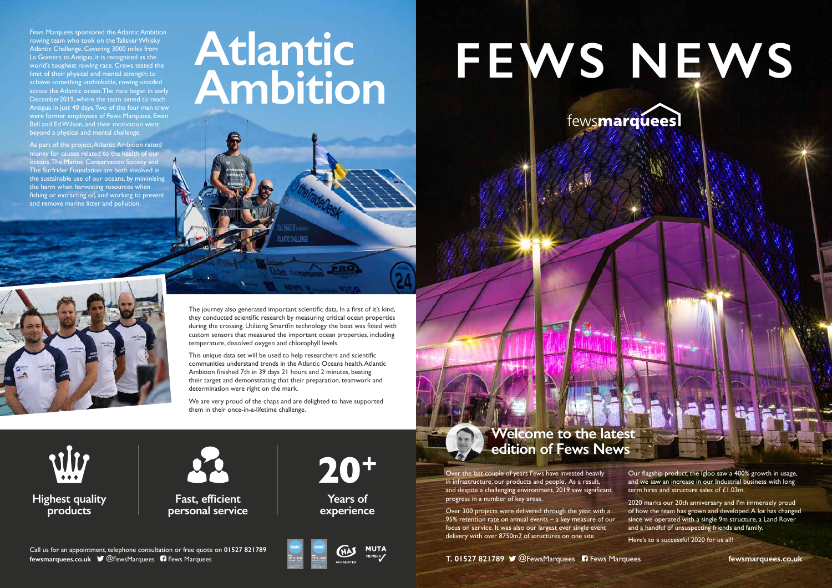Fews Marquees sponsored the Atlantic Ambition rowing team who took on the Talisker Whisky Atlantic Challenge. Covering 3000 miles from La Gomera to Antigua, it is recognised as the world's toughest rowing race. Crews tested the limit of their physical and mental strength; to achieve something unthinkable, rowing unaided across the Atlantic ocean. The race began in early December2019, where the team aimed to reach Antigua in just 40 days. Two of the four man crew were former employees of Fews Marquees, Ewan Bell and Ed Wilson, and their motivation went beyond a physical and mental challenge.

As part of the project, Atlantic Ambition raised money for causes related to the health of our oceans. The Marine Conservation Society and The Surfrider Foundation are both involved in the sustainable use of our oceans, by minimising the harm when harvesting resources when fishing or extracting oil, and working to prevent and remove marine litter and pollution.

## **Atlantic**



Over the last couple of years Fews have invested heavily in infrastructure, our products and people. As a result, and despite a challenging environment, 2019 saw significant progress in a number of key areas.

Over 300 projects were delivered through the year, with a 95% retention rate on annual events – a key measure of our focus on service. It was also our largest ever single event delivery with over 8750m2 of structures on one site.



Call us for an appointment, telephone consultation or free quote on **01527 821789 fewsmarquees.co.uk @FewsMarquees 6 Fews Marquees** 



# FEWS NEWS

vlv **Highest quality products**



Our flagship product, the Igloo saw a 400% growth in usage, and we saw an increase in our Industrial business with long term hires and structure sales of £1.03m.

2020 marks our 20th anniversary and I'm immensely proud of how the team has grown and developed. A lot has changed since we operated with a single 9m structure, a Land Rover and a handful of unsuspecting friends and family.

Here's to a successful 2020 for us all!

**fewsmarquees.co.uk**



The journey also generated important scientific data. In a first of it's kind, they conducted scientific research by measuring critical ocean properties during the crossing. Utilizing Smartfin technology the boat was fitted with custom sensors that measured the important ocean properties, including temperature, dissolved oxygen and chlorophyll levels.

This unique data set will be used to help researchers and scientific communities understand trends in the Atlantic Oceans health. Atlantic Ambition finished 7th in 39 days 21 hours and 2 minutes, beating their target and demonstrating that their preparation, teamwork and determination were right on the mark.

We are very proud of the chaps and are delighted to have supported them in their once-in-a-lifetime challenge.

**Fast, efficient personal service**



**Years of experience**